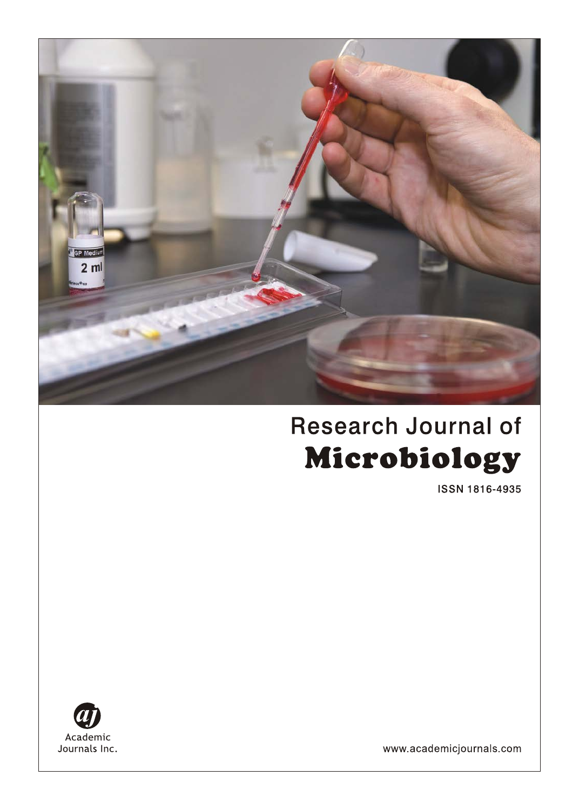

# **Research Journal of** Microbiology

ISSN 1816-4935



www.academicjournals.com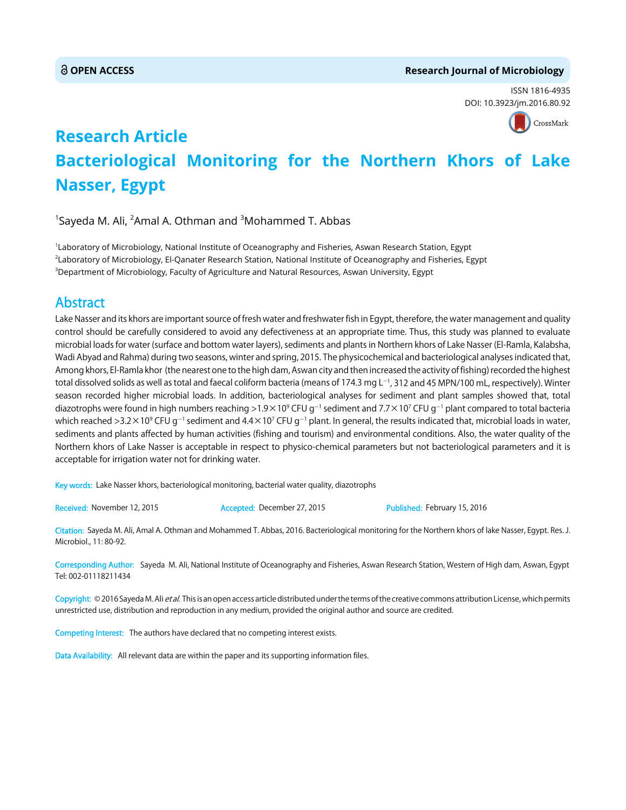# **OPEN ACCESS Research Journal of Microbiology**

ISSN 1816-4935 DOI: 10.3[923/jm.2016.80.92](http://crossmark.crossref.org/dialog/?doi=10.3923/jm.2016.80.92&domain=pdf&date_stamp=2016-02-15)



# **Research Article Bacteriological Monitoring for the Northern Khors of Lake Nasser, Egypt**

 $^1$ Sayeda M. Ali,  $^2$ Amal A. Othman and  $^3$ Mohammed T. Abbas

1 Laboratory of Microbiology, National Institute of Oceanography and Fisheries, Aswan Research Station, Egypt 2 Laboratory of Microbiology, El-Qanater Research Station, National Institute of Oceanography and Fisheries, Egypt 3 Department of Microbiology, Faculty of Agriculture and Natural Resources, Aswan University, Egypt

# Abstract

Lake Nasser and its khors are important source of fresh water and freshwater fish in Egypt, therefore, the water management and quality control should be carefully considered to avoid any defectiveness at an appropriate time. Thus, this study was planned to evaluate microbial loads for water (surface and bottom water layers), sediments and plants in Northern khors of Lake Nasser (El-Ramla, Kalabsha, Wadi Abyad and Rahma) during two seasons, winter and spring, 2015. The physicochemical and bacteriological analyses indicated that, Among khors, El-Ramla khor (the nearest one to the high dam, Aswan city and then increased the activity of fishing) recorded the highest total dissolved solids as well as total and faecal coliform bacteria (means of 174.3 mg L $^{-1}$ , 312 and 45 MPN/100 mL, respectively). Winter season recorded higher microbial loads. In addition, bacteriological analyses for sediment and plant samples showed that, total diazotrophs were found in high numbers reaching >1.9×10° CFU g $^{-1}$  sediment and 7.7×10<sup>7</sup> CFU g $^{-1}$  plant compared to total bacteria which reached >3.2×10° CFU g<sup>-1</sup> sediment and 4.4×10<sup>7</sup> CFU g<sup>-1</sup> plant. In general, the results indicated that, microbial loads in water, sediments and plants affected by human activities (fishing and tourism) and environmental conditions. Also, the water quality of the Northern khors of Lake Nasser is acceptable in respect to physico-chemical parameters but not bacteriological parameters and it is acceptable for irrigation water not for drinking water.

Key words: Lake Nasser khors, bacteriological monitoring, bacterial water quality, diazotrophs

Received: November 12, 2015 **Accepted: December 27, 2015** Published: February 15, 2016

Citation: Sayeda M. Ali, Amal A. Othman and Mohammed T. Abbas, 2016. Bacteriological monitoring for the Northern khors of lake Nasser, Egypt. Res. J. Microbiol., 11: 80-92.

Corresponding Author: Sayeda M. Ali, National Institute of Oceanography and Fisheries, Aswan Research Station, Western of High dam, Aswan, Egypt Tel: 002-01118211434

Copyright: © 2016 Sayeda M. Ali *et al.* This is an open access article distributed under the terms of the creative commons attribution License, which permits unrestricted use, distribution and reproduction in any medium, provided the original author and source are credited.

Competing Interest: The authors have declared that no competing interest exists.

Data Availability: All relevant data are within the paper and its supporting information files.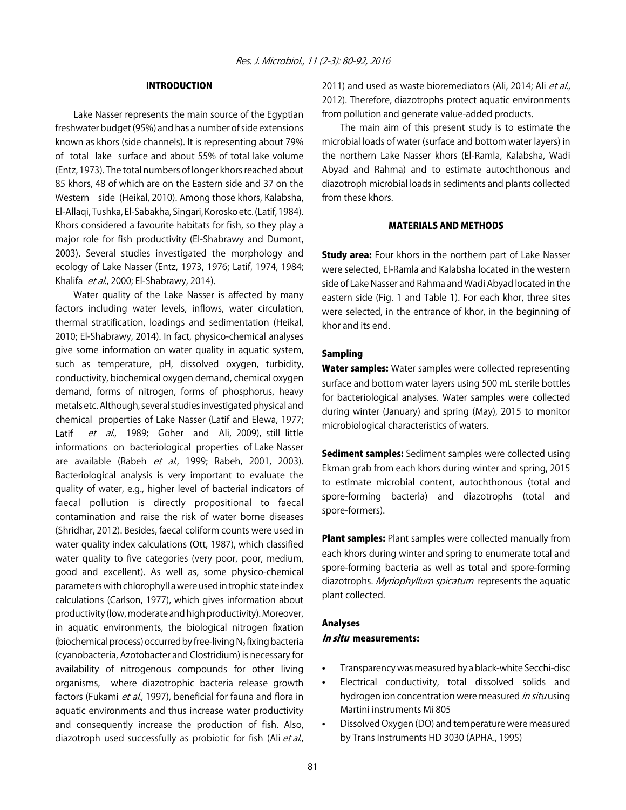# INTRODUCTION

Lake Nasser represents the main source of the Egyptian freshwater budget (95%) and has a number of side extensions known as khors (side channels). It is representing about 79% of total lake surface and about 55% of total lake volume (Entz, 1973). The total numbers of longer khors reached about 85 khors, 48 of which are on the Eastern side and 37 on the Western side (Heikal, 2010). Among those khors, Kalabsha, El-Allaqi, Tushka, El-Sabakha, Singari, Korosko etc. (Latif, 1984). Khors considered a favourite habitats for fish, so they play a major role for fish productivity (El-Shabrawy and Dumont, 2003). Several studies investigated the morphology and ecology of Lake Nasser (Entz, 1973, 1976; Latif, 1974, 1984; Khalifa et al., 2000; El-Shabrawy, 2014).

Water quality of the Lake Nasser is affected by many factors including water levels, inflows, water circulation, thermal stratification, loadings and sedimentation (Heikal, 2010; El-Shabrawy, 2014). In fact, physico-chemical analyses give some information on water quality in aquatic system, such as temperature, pH, dissolved oxygen, turbidity, conductivity, biochemical oxygen demand, chemical oxygen demand, forms of nitrogen, forms of phosphorus, heavy metals etc. Although, several studies investigated physical and chemical properties of Lake Nasser (Latif and Elewa, 1977; Latif et al., 1989; Goher and Ali, 2009), still little informations on bacteriological properties of Lake Nasser are available (Rabeh et al., 1999; Rabeh, 2001, 2003). Bacteriological analysis is very important to evaluate the quality of water, e.g., higher level of bacterial indicators of faecal pollution is directly propositional to faecal contamination and raise the risk of water borne diseases (Shridhar, 2012). Besides, faecal coliform counts were used in water quality index calculations (Ott, 1987), which classified water quality to five categories (very poor, poor, medium, good and excellent). As well as, some physico-chemical parameters with chlorophyll a were used in trophic state index calculations (Carlson, 1977), which gives information about productivity (low, moderate and high productivity). Moreover, in aquatic environments, the biological nitrogen fixation (biochemical process) occurred by free-living  $N_2$  fixing bacteria (cyanobacteria, Azotobacter and Clostridium) is necessary for availability of nitrogenous compounds for other living organisms, where diazotrophic bacteria release growth factors (Fukami et al., 1997), beneficial for fauna and flora in aquatic environments and thus increase water productivity and consequently increase the production of fish. Also, diazotroph used successfully as probiotic for fish (Ali et al.,

2011) and used as waste bioremediators (Ali, 2014; Ali et al., 2012). Therefore, diazotrophs protect aquatic environments from pollution and generate value-added products.

The main aim of this present study is to estimate the microbial loads of water (surface and bottom water layers) in the northern Lake Nasser khors (El-Ramla, Kalabsha, Wadi Abyad and Rahma) and to estimate autochthonous and diazotroph microbial loads in sediments and plants collected from these khors.

# MATERIALS AND METHODS

**Study area:** Four khors in the northern part of Lake Nasser were selected, El-Ramla and Kalabsha located in the western side of Lake Nasser and Rahma and Wadi Abyad located in the eastern side (Fig. 1 and Table 1). For each khor, three sites were selected, in the entrance of khor, in the beginning of khor and its end.

# Sampling

Water samples: Water samples were collected representing surface and bottom water layers using 500 mL sterile bottles for bacteriological analyses. Water samples were collected during winter (January) and spring (May), 2015 to monitor microbiological characteristics of waters.

Sediment samples: Sediment samples were collected using Ekman grab from each khors during winter and spring, 2015 to estimate microbial content, autochthonous (total and spore-forming bacteria) and diazotrophs (total and spore-formers).

Plant samples: Plant samples were collected manually from each khors during winter and spring to enumerate total and spore-forming bacteria as well as total and spore-forming diazotrophs. Myriophyllum spicatum represents the aquatic plant collected.

# Analyses In situ measurements:

- Transparency was measured by a black-white Secchi-disc
- Electrical conductivity, total dissolved solids and hydrogen ion concentration were measured *in situ* using Martini instruments Mi 805
- Dissolved Oxygen (DO) and temperature were measured by Trans Instruments HD 3030 (APHA., 1995)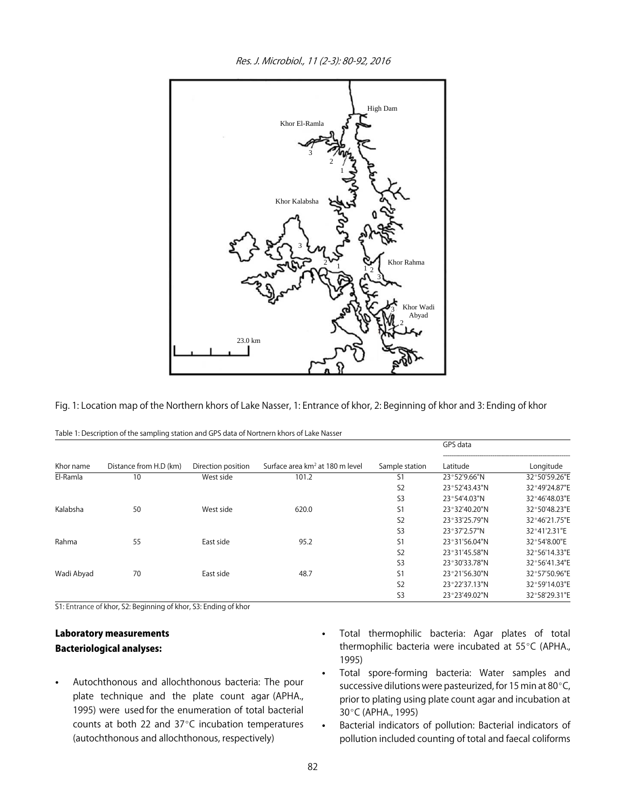1 2 3 Khor Kalabsha Khor El-Ramla High Dam  $\sum_{1}$ 3 3 3 2 2 Khor Wadi Abyad 1, 23.0 km Khor Rahma

Res. J. Microbiol., 11 (2-3): 80-92, 2016

Fig. 1: Location map of the Northern khors of Lake Nasser, 1: Entrance of khor, 2: Beginning of khor and 3: Ending of khor

|            |                        |                    |                                             |                | GPS data      |               |
|------------|------------------------|--------------------|---------------------------------------------|----------------|---------------|---------------|
| Khor name  | Distance from H.D (km) | Direction position | Surface area km <sup>2</sup> at 180 m level | Sample station | Latitude      | Longitude     |
| El-Ramla   | 10                     | West side          | 101.2                                       | S1             | 23°52'9.66"N  | 32°50'59.26"E |
|            |                        |                    |                                             | S <sub>2</sub> | 23°52'43.43"N | 32°49'24.87"E |
|            |                        |                    |                                             | S <sub>3</sub> | 23°54'4.03"N  | 32°46'48.03"E |
| Kalabsha   | 50                     | West side          | 620.0                                       | S <sub>1</sub> | 23°32'40.20"N | 32°50'48.23"E |
|            |                        |                    |                                             | S <sub>2</sub> | 23°33'25.79"N | 32°46'21.75"E |
|            |                        |                    |                                             | S <sub>3</sub> | 23°37'2.57"N  | 32°41'2.31"E  |
| Rahma      | 55                     | East side          | 95.2                                        | S1             | 23°31'56.04"N | 32°54'8.00"E  |
|            |                        |                    |                                             | S <sub>2</sub> | 23°31'45.58"N | 32°56'14.33"E |
|            |                        |                    |                                             | S <sub>3</sub> | 23°30'33.78"N | 32°56'41.34"E |
| Wadi Abyad | 70                     | East side          | 48.7                                        | S <sub>1</sub> | 23°21'56.30"N | 32°57'50.96"E |
|            |                        |                    |                                             | S <sub>2</sub> | 23°22'37.13"N | 32°59'14.03"E |
|            |                        |                    |                                             | S <sub>3</sub> | 23°23'49.02"N | 32°58'29.31"E |

| Table 1: Description of the sampling station and GPS data of Nortnern khors of Lake Nasser |  |
|--------------------------------------------------------------------------------------------|--|
|--------------------------------------------------------------------------------------------|--|

S1: Entrance of khor, S2: Beginning of khor, S3: Ending of khor

# Laboratory measurements Bacteriological analyses:

- Autochthonous and allochthonous bacteria: The pour plate technique and the plate count agar (APHA., 1995) were used for the enumeration of total bacterial counts at both 22 and  $37^{\circ}$ C incubation temperatures (autochthonous and allochthonous, respectively)
- Total thermophilic bacteria: Agar plates of total thermophilic bacteria were incubated at 55°C (APHA., 1995)
- Total spore-forming bacteria: Water samples and successive dilutions were pasteurized, for 15 min at 80 $\degree$ C, prior to plating using plate count agar and incubation at 30°C (APHA., 1995)
- Bacterial indicators of pollution: Bacterial indicators of pollution included counting of total and faecal coliforms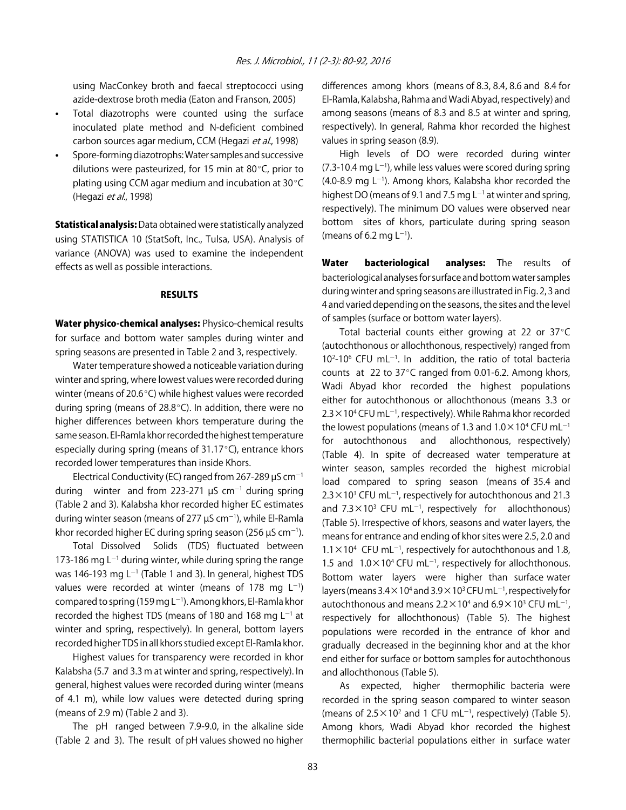using MacConkey broth and faecal streptococci using azide-dextrose broth media (Eaton and Franson, 2005)

- Total diazotrophs were counted using the surface inoculated plate method and N-deficient combined carbon sources agar medium, CCM (Hegazi et al., 1998)
- Spore-forming diazotrophs: Water samples and successive dilutions were pasteurized, for 15 min at 80 $^{\circ}$ C, prior to plating using CCM agar medium and incubation at  $30^{\circ}$ C (Hegazi et al., 1998)

**Statistical analysis:** Data obtained were statistically analyzed using STATISTICA 10 (StatSoft, Inc., Tulsa, USA). Analysis of variance (ANOVA) was used to examine the independent effects as well as possible interactions.

# RESULTS

Water physico-chemical analyses: Physico-chemical results for surface and bottom water samples during winter and spring seasons are presented in Table 2 and 3, respectively.

Water temperature showed a noticeable variation during winter and spring, where lowest values were recorded during winter (means of 20.6 $\degree$ C) while highest values were recorded during spring (means of  $28.8^{\circ}$ C). In addition, there were no higher differences between khors temperature during the same season. El-Ramla khor recorded the highest temperature especially during spring (means of  $31.17^{\circ}$ C), entrance khors recorded lower temperatures than inside Khors.

Electrical Conductivity (EC) ranged from 267-289  $\mu$ S cm<sup>-1</sup> during winter and from 223-271  $\mu$ S cm<sup>-1</sup> during spring (Table 2 and 3). Kalabsha khor recorded higher EC estimates during winter season (means of 277  $\mu$ S cm<sup>-1</sup>), while El-Ramla khor recorded higher EC during spring season (256  $\mu$ S cm<sup>-1</sup>).

Total Dissolved Solids (TDS) fluctuated between 173-186 mg  $L^{-1}$  during winter, while during spring the range was 146-193 mg L<sup>-1</sup> (Table 1 and 3). In general, highest TDS values were recorded at winter (means of 178 mg  $L^{-1}$ ) compared to spring (159 mg L $^{-1}$ ). Among khors, El-Ramla khor recorded the highest TDS (means of 180 and 168 mg  $L^{-1}$  at winter and spring, respectively). In general, bottom layers recorded higher TDS in all khors studied except El-Ramla khor.

Highest values for transparency were recorded in khor Kalabsha (5.7 and 3.3 m at winter and spring, respectively). In general, highest values were recorded during winter (means of 4.1 m), while low values were detected during spring (means of 2.9 m) (Table 2 and 3).

The pH ranged between 7.9-9.0, in the alkaline side (Table 2 and 3). The result of pH values showed no higher differences among khors (means of 8.3, 8.4, 8.6 and 8.4 for El-Ramla, Kalabsha, Rahma and Wadi Abyad, respectively) and among seasons (means of 8.3 and 8.5 at winter and spring, respectively). In general, Rahma khor recorded the highest values in spring season (8.9).

High levels of DO were recorded during winter  $(7.3-10.4 \text{ mg L}^{-1})$ , while less values were scored during spring  $(4.0$ -8.9 mg L<sup>-1</sup>). Among khors, Kalabsha khor recorded the highest DO (means of 9.1 and 7.5 mg  $L^{-1}$  at winter and spring, respectively). The minimum DO values were observed near bottom sites of khors, particulate during spring season (means of 6.2 mg  $L^{-1}$ ).

Water bacteriological analyses: The results of bacteriological analyses for surface and bottom water samples during winter and spring seasons are illustrated in Fig. 2, 3 and 4 and varied depending on the seasons, the sites and the level of samples (surface or bottom water layers).

Total bacterial counts either growing at 22 or  $37^{\circ}$ C (autochthonous or allochthonous, respectively) ranged from  $10^{2}-10^{6}$  CFU mL<sup>-1</sup>. In addition, the ratio of total bacteria counts at 22 to  $37^{\circ}$ C ranged from 0.01-6.2. Among khors, Wadi Abyad khor recorded the highest populations either for autochthonous or allochthonous (means 3.3 or  $2.3 \times$  10<sup>4</sup> CFU mL<sup>-1</sup>, respectively). While Rahma khor recorded the lowest populations (means of 1.3 and  $1.0 \times 10^4$  CFU mL<sup>-1</sup> for autochthonous and allochthonous, respectively) (Table 4). In spite of decreased water temperature at winter season, samples recorded the highest microbial load compared to spring season (means of 35.4 and  $2.3 \times 10^3$  CFU mL<sup>-1</sup>, respectively for autochthonous and 21.3 and  $7.3 \times 10^3$  CFU mL<sup>-1</sup>, respectively for allochthonous) (Table 5). Irrespective of khors, seasons and water layers, the means for entrance and ending of khor sites were 2.5, 2.0 and  $1.1 \times 10^4$  CFU mL<sup>-1</sup>, respectively for autochthonous and 1.8, 1.5 and  $1.0 \times 10^4$  CFU mL<sup>-1</sup>, respectively for allochthonous. Bottom water layers were higher than surface water layers (means 3.4  $\times$  10<sup>4</sup> and 3.9  $\times$  10<sup>3</sup> CFU mL $^{-1}$ , respectively for autochthonous and means 2.2 $\times$ 10<sup>4</sup> and 6.9 $\times$ 10<sup>3</sup> CFU mL<sup>-1</sup>, respectively for allochthonous) (Table 5). The highest populations were recorded in the entrance of khor and gradually decreased in the beginning khor and at the khor end either for surface or bottom samples for autochthonous and allochthonous (Table 5).

As expected, higher thermophilic bacteria were recorded in the spring season compared to winter season (means of  $2.5 \times 10^2$  and 1 CFU mL<sup>-1</sup>, respectively) (Table 5). Among khors, Wadi Abyad khor recorded the highest thermophilic bacterial populations either in surface water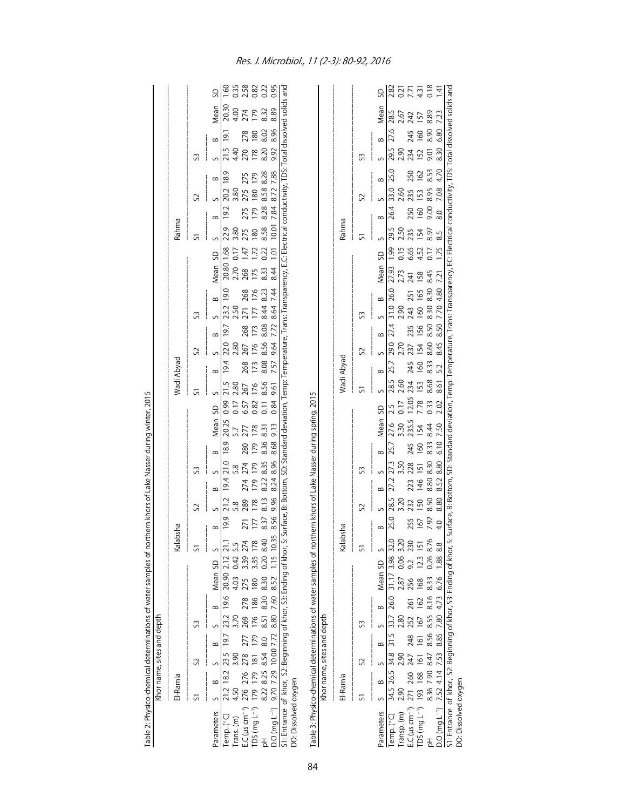| Table 2: Physico-chemical determinations of water samples of northern khors of Lake Nasser during winter, 2015                                                                   |                                          |                                       |                                  |                                           |                            |                           |                            |                         |                               |                              |                                 |                                                 |                            |                                   |                         |                     |                         |                                                                                                                                                  |                              |                                    |                          |                         |                          |                         |                               |                         |                             |                         |
|----------------------------------------------------------------------------------------------------------------------------------------------------------------------------------|------------------------------------------|---------------------------------------|----------------------------------|-------------------------------------------|----------------------------|---------------------------|----------------------------|-------------------------|-------------------------------|------------------------------|---------------------------------|-------------------------------------------------|----------------------------|-----------------------------------|-------------------------|---------------------|-------------------------|--------------------------------------------------------------------------------------------------------------------------------------------------|------------------------------|------------------------------------|--------------------------|-------------------------|--------------------------|-------------------------|-------------------------------|-------------------------|-----------------------------|-------------------------|
|                                                                                                                                                                                  |                                          | Khor name, sites and depth            |                                  |                                           |                            |                           |                            |                         |                               |                              |                                 |                                                 |                            |                                   |                         |                     |                         |                                                                                                                                                  |                              |                                    |                          |                         |                          |                         |                               |                         |                             |                         |
|                                                                                                                                                                                  | El-Ramla                                 |                                       |                                  |                                           |                            |                           | Kalabsha                   |                         |                               |                              |                                 |                                                 |                            |                                   | Wadi Abyad              |                     |                         |                                                                                                                                                  |                              |                                    |                          | Rahma                   |                          |                         |                               |                         |                             |                         |
|                                                                                                                                                                                  | 5                                        | S                                     |                                  | S                                         |                            |                           | 51                         |                         | S                             | S                            |                                 |                                                 |                            | 5                                 |                         | S                   |                         | S                                                                                                                                                |                              |                                    | 5                        |                         | S                        |                         | S                             |                         |                             |                         |
| Parameters                                                                                                                                                                       | $\infty$<br>S                            | S                                     | $\infty$                         | $\infty$<br>S                             |                            | Mean SD                   | S                          | $\infty$                | $\sim$                        | $\sim$<br>$\infty$           | $\infty$                        | Mean                                            | SD                         | $\sim$                            | $\infty$                | S                   | $\infty$                | $\infty$<br>S                                                                                                                                    |                              | SD<br>Mean                         | $\sim$                   | $\infty$                | $\sim$                   | $\infty$                | S                             | $\infty$                | Mean                        | SD                      |
| Temp. (°C)<br>rans. (m)                                                                                                                                                          | 21.2<br>4.50                             | 3.90<br>18.2                          | 19.7                             | 23.2<br>3.70                              | 4.03<br>19.6               | 2.12<br>20.90             | 0.42 5.5                   | 19.9                    | 21.2<br>5.8                   | 19.4                         | 21.0<br>5.8                     | 20.25<br>18.9                                   | 0.99<br>0.17               | 21.5<br>2.80                      | 19.4                    | 22.0<br>2.80        | 19.7                    | 23.2<br>2.50                                                                                                                                     | 19.0                         | 1.68<br>0.17<br>20.80<br>2.70      | 22.9<br>3.80             | 19.2                    | 20.2<br>3.80             | 18.9                    | 21.5<br>4.40                  | <u>i 61</u>             | 20.30<br>4.00               | <u>ଗ୍</u>               |
| $EC$ ( $\mu s$ cm <sup>-1</sup> )                                                                                                                                                | 276 276                                  | 278                                   | 277                              | 269                                       | 275<br>278                 |                           | 3.39 274                   | 271                     | 289                           |                              | 274                             | 277<br>280                                      | 6.57                       | 267                               | 268                     | 267                 | 268                     | 268<br>271                                                                                                                                       | 268                          | 1.47                               | 275                      | 275                     | 275                      | 275                     | 270                           | 278                     | 274                         | 0.35<br>2.58            |
| $TDS$ (mg $L^{-1}$ )                                                                                                                                                             | 179 179<br>8.22 8.25 1                   | $\overline{181}$                      | 179                              | 176                                       | 180<br>186                 |                           | 3.35 178                   | 177                     | 178                           | 274<br>179<br>8.22           | 179                             | 178<br>179<br>8.36                              | 0.82                       | 176                               | 173                     | 176<br>8.56         | $\frac{173}{8.08}$      | 177                                                                                                                                              | 176                          | $1.72$<br>0.22<br>175              | 180                      | 179                     | 180                      | 179                     | $\frac{178}{8.20}$            | 180                     | 179                         | 82<br>0.22              |
|                                                                                                                                                                                  |                                          |                                       |                                  | 8.51                                      |                            |                           | 0.20 8.40                  | 8.37                    | 8.13                          |                              | 8.35                            | 8.31                                            | 0.11                       | 8.56                              | 8.08                    |                     |                         | 8.23<br>8.44                                                                                                                                     |                              |                                    | 8.58                     | 8.28                    |                          | 8.58 8.28               |                               | 8.02                    |                             |                         |
|                                                                                                                                                                                  |                                          |                                       |                                  |                                           |                            |                           |                            |                         |                               |                              |                                 |                                                 |                            |                                   |                         |                     |                         |                                                                                                                                                  |                              |                                    |                          |                         |                          |                         |                               |                         |                             |                         |
| Table 3: Physico-chemical determinations of water samples of nor                                                                                                                 |                                          |                                       |                                  |                                           |                            |                           |                            |                         |                               |                              |                                 | rthern khors of Lake Nasser during spring, 2015 |                            |                                   |                         |                     |                         |                                                                                                                                                  |                              |                                    |                          |                         |                          |                         |                               |                         |                             |                         |
|                                                                                                                                                                                  |                                          | Khor name, sites and depth            |                                  |                                           |                            |                           |                            |                         |                               |                              |                                 |                                                 |                            |                                   |                         |                     |                         |                                                                                                                                                  |                              |                                    |                          |                         |                          |                         |                               |                         |                             |                         |
|                                                                                                                                                                                  | El-Ramla                                 |                                       |                                  |                                           |                            |                           | Kalabsha                   |                         |                               |                              |                                 |                                                 |                            |                                   | Wadi Abyad              |                     |                         |                                                                                                                                                  |                              |                                    |                          | Rahma                   |                          |                         |                               |                         |                             |                         |
|                                                                                                                                                                                  | 5                                        | S                                     |                                  | S                                         |                            |                           | 5                          |                         | S                             | S                            |                                 |                                                 |                            | 5                                 |                         | S                   |                         | S                                                                                                                                                |                              |                                    | ದ                        |                         | S                        |                         | S                             |                         |                             |                         |
| $EC$ ( $\mu$ s cm $^{-1}$ )<br>Parameters<br>Transp. (m)<br>Temp. (°C)                                                                                                           | 271 260<br>$\infty$<br>34.5<br>2.90<br>S | 34.8<br>2.90<br>247<br>$\sim$<br>26.5 | 31.5<br>248<br>$\mathbf{\Omega}$ | $\infty$<br>33.7<br>2.80<br>252<br>$\sim$ | 2.87<br>256<br>26.0<br>261 | 31.17 3.98 32.<br>Mean SD | 9.2 230<br>$0.06$ 3.2<br>S | 25.0<br>255<br>$\infty$ | 28.5<br>3.20<br>232<br>$\sim$ | S<br>27.2<br>223<br>$\infty$ | $\infty$<br>27.3<br>3.50<br>228 | Mean<br>235.5<br>27.6<br>3.30<br>245<br>25.7    | 12.05<br>0.17<br>2.5<br>SD | 28.5<br>2.60<br>234<br>$\sqrt{ }$ | 25.7<br>245<br>$\infty$ | 29.0<br>2.70<br>237 | 27.4<br>235<br>$\infty$ | 251<br>$\infty$<br>$\frac{31.0}{ }$<br>243<br>2.90                                                                                               | 27.93<br>2.73<br>241<br>26.0 | 0.15<br>6.65<br>1.99<br>SD<br>Mean | 29.5<br>2.50<br>235<br>S | 26.4<br>250<br>$\infty$ | 33.0<br>2.60<br>235<br>S | 25.0<br>250<br>$\infty$ | 29.5<br>2.90<br>234<br>$\sim$ | 27.6<br>245<br>$\infty$ | Mean<br>28.5<br>242<br>2.67 | $\frac{27}{27}$<br>2.82 |
| $TDS$ (mg $L^{-1}$ )                                                                                                                                                             | 193                                      | $\overline{161}$<br>168               | 161                              | 8.55<br>167                               | 168<br>162                 |                           | 12.3 151                   | 167                     | 150                           | 146<br>8.80                  | 151                             | 154<br>160                                      | 7.78                       | 153                               | 160                     | 154                 | 156                     | 160                                                                                                                                              | 158<br>8.30<br>165           | 4.52<br>0.17                       | 154                      | 160                     | 153                      | 162                     | 9.01<br>152                   | 160                     | 157                         | 431                     |
| 공                                                                                                                                                                                | 8.36 7.90                                | 8.47                                  | 8.56                             |                                           | 8.33<br>8.16               |                           | 0.26 8.76                  | 7.92<br>4.0             | 8.80<br>8.50                  | 8.52                         | 8.30<br>8.80                    | 8.44<br>7.50<br>8.33<br>6.10                    | 2.02<br>0.33               | 8.68<br>8.61                      | 8.33<br>5.2             | 8.60<br>8.45        | 8.50<br>8.50            | 8.30<br>7.70                                                                                                                                     | 8.45<br>7.21<br>4.80         | 1.75                               | 8.97<br>8.5              | 9.00<br>8.0             | 8.95<br>7.08             | 8.53<br>4.70            | 8.30                          | 8.90<br>6.80            | 8.89<br>7.23                | 0.18<br>$\frac{14}{1}$  |
| $\frac{D\Omega(mg L^{-1})}{D(2.52 \text{ A})14}$ 7.52 8.85 7.80 4.73 6.76 1.88 8.8<br>S1: Entrance of khor, S2: Beginning of khor, S3: Ending of khor, S<br>DO: Dissolved oxyger |                                          |                                       |                                  |                                           |                            |                           |                            |                         |                               |                              |                                 |                                                 |                            |                                   |                         |                     |                         | Surface, B: Bottom, SD: Standard deviation, Temp: Temperature, Trans: Transparency, EC: Electrical conductivity, TDS: Total dissolved solids and |                              |                                    |                          |                         |                          |                         |                               |                         |                             |                         |

Res. J. Microbiol., 11 (2-3): 80-92, 2016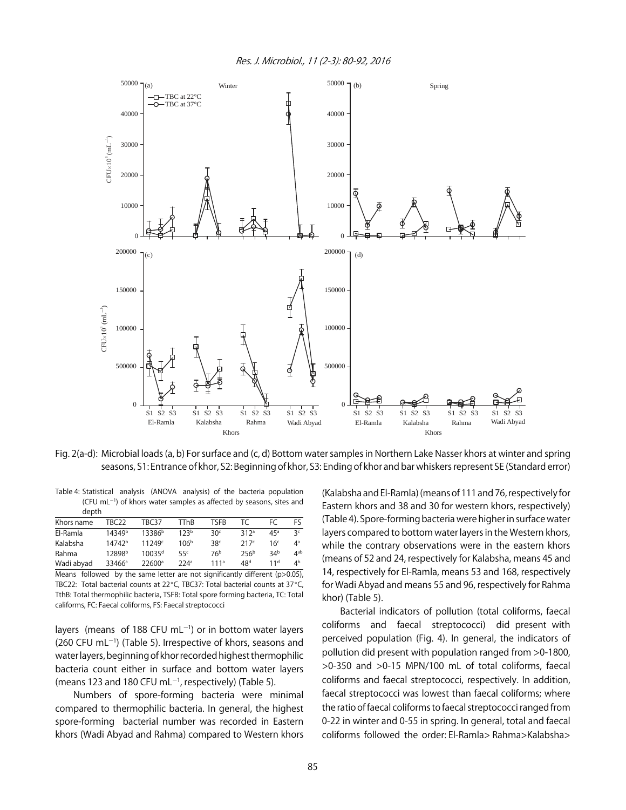

Fig. 2(a-d): Microbial loads (a, b) For surface and (c, d) Bottom water samples in Northern Lake Nasser khors at winter and spring seasons, S1: Entrance of khor, S2: Beginning of khor, S3: Ending of khor and bar whiskers represent SE (Standard error)

Table 4: Statistical analysis (ANOVA analysis) of the bacteria population  $(CFU$  mL $^{-1}$ ) of khors water samples as affected by seasons, sites and depth

| Khors name | TRC22              | TBC37              | <b>TThB</b>      | <b>TSFR</b>     |                  | FC              | Fς              |
|------------|--------------------|--------------------|------------------|-----------------|------------------|-----------------|-----------------|
| El-Ramla   | 14349b             | 13386 <sup>b</sup> | 123 <sup>b</sup> | 30 <sup>c</sup> | 312a             | 45a             | Зc              |
| Kalabsha   | 14742 <sup>b</sup> | 11249 <sup>c</sup> | 106 <sup>b</sup> | 38 <sup>c</sup> | 217c             | 16٬             | $4^a$           |
| Rahma      | 12898b             | 10035 <sup>d</sup> | 55 <sup>c</sup>  | 76 <sup>b</sup> | 256 <sup>b</sup> | 34 <sup>b</sup> | 4 <sup>ab</sup> |
| Wadi abyad | 33466 <sup>a</sup> | $22600^{\circ}$    | 224a             | 111a            | 48 <sup>d</sup>  | 11 <sup>d</sup> | ⊿b              |

Means followed by the same letter are not significantly different (p>0.05), TBC22: Total bacterial counts at 22 $^{\circ}$ C, TBC37: Total bacterial counts at 37 $^{\circ}$ C, TthB: Total thermophilic bacteria, TSFB: Total spore forming bacteria, TC: Total califorms, FC: Faecal coliforms, FS: Faecal streptococci

layers (means of 188 CFU mL $^{-1}$ ) or in bottom water layers  $(260 \text{ CFU} \text{ mL}^{-1})$  (Table 5). Irrespective of khors, seasons and water layers, beginning of khor recorded highest thermophilic bacteria count either in surface and bottom water layers (means 123 and 180 CFU mL $^{-1}$ , respectively) (Table 5).

Numbers of spore-forming bacteria were minimal compared to thermophilic bacteria. In general, the highest spore-forming bacterial number was recorded in Eastern khors (Wadi Abyad and Rahma) compared to Western khors (Kalabsha and El-Ramla) (means of 111 and 76, respectively for Eastern khors and 38 and 30 for western khors, respectively) (Table 4). Spore-forming bacteria were higher in surface water layers compared to bottom water layers in the Western khors, while the contrary observations were in the eastern khors (means of 52 and 24, respectively for Kalabsha, means 45 and 14, respectively for El-Ramla, means 53 and 168, respectively for Wadi Abyad and means 55 and 96, respectively for Rahma khor) (Table 5).

Bacterial indicators of pollution (total coliforms, faecal coliforms and faecal streptococci) did present with perceived population (Fig. 4). In general, the indicators of pollution did present with population ranged from >0-1800, >0-350 and >0-15 MPN/100 mL of total coliforms, faecal coliforms and faecal streptococci, respectively. In addition, faecal streptococci was lowest than faecal coliforms; where the ratio of faecal coliforms to faecal streptococci ranged from 0-22 in winter and 0-55 in spring. In general, total and faecal coliforms followed the order: El-Ramla> Rahma>Kalabsha>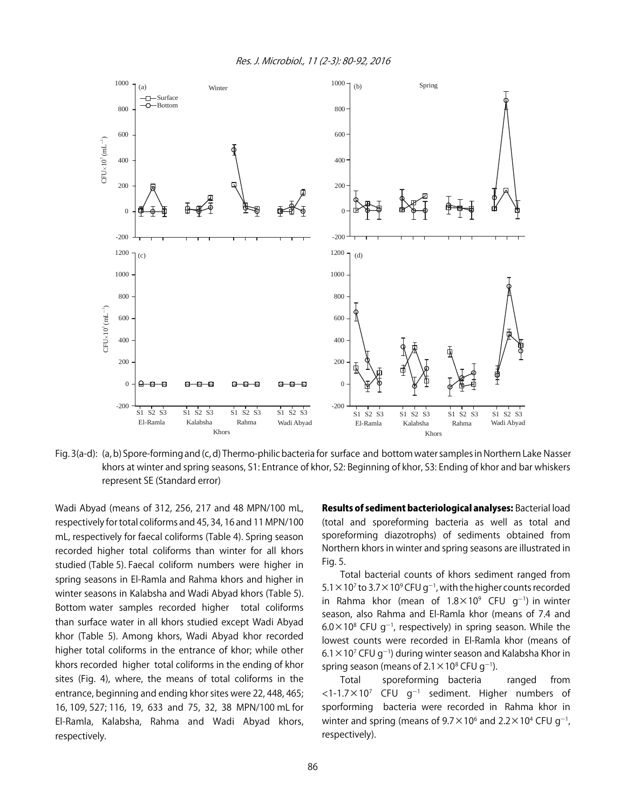

Fig. 3(a-d): (a, b) Spore-forming and (c, d) Thermo-philic bacteria for surface and bottom water samples in Northern Lake Nasser khors at winter and spring seasons, S1: Entrance of khor, S2: Beginning of khor, S3: Ending of khor and bar whiskers represent SE (Standard error)

Wadi Abyad (means of 312, 256, 217 and 48 MPN/100 mL, respectively for total coliforms and 45, 34, 16 and 11 MPN/100 mL, respectively for faecal coliforms (Table 4). Spring season recorded higher total coliforms than winter for all khors studied (Table 5). Faecal coliform numbers were higher in spring seasons in El-Ramla and Rahma khors and higher in winter seasons in Kalabsha and Wadi Abyad khors (Table 5). Bottom water samples recorded higher total coliforms than surface water in all khors studied except Wadi Abyad khor (Table 5). Among khors, Wadi Abyad khor recorded higher total coliforms in the entrance of khor; while other khors recorded higher total coliforms in the ending of khor sites (Fig. 4), where, the means of total coliforms in the entrance, beginning and ending khor sites were 22, 448, 465; 16, 109, 527; 116, 19, 633 and 75, 32, 38 MPN/100 mL for El-Ramla, Kalabsha, Rahma and Wadi Abyad khors, respectively.

Results of sediment bacteriological analyses: Bacterial load (total and sporeforming bacteria as well as total and sporeforming diazotrophs) of sediments obtained from Northern khors in winter and spring seasons are illustrated in Fig. 5.

Total bacterial counts of khors sediment ranged from 5.1  $\times$  10<sup>7</sup> to 3.7  $\times$  10<sup>9</sup> CFU g<sup>-1</sup>, with the higher counts recorded in Rahma khor (mean of  $1.8 \times 10^9$  CFU g<sup>-1</sup>) in winter season, also Rahma and El-Ramla khor (means of 7.4 and  $6.0\times10^8$  CFU g<sup>-1</sup>, respectively) in spring season. While the lowest counts were recorded in El-Ramla khor (means of  $6.1 \times 10^7$  CFU g<sup>-1</sup>) during winter season and Kalabsha Khor in spring season (means of  $2.1 \times 10^8$  CFU g<sup>-1</sup>).

Total sporeforming bacteria ranged from  $<$ 1-1.7 $\times$ 10<sup>7</sup> CFU g<sup>-1</sup> sediment. Higher numbers of sporforming bacteria were recorded in Rahma khor in winter and spring (means of  $9.7 \times 10^6$  and  $2.2 \times 10^4$  CFU g<sup>-1</sup>, respectively).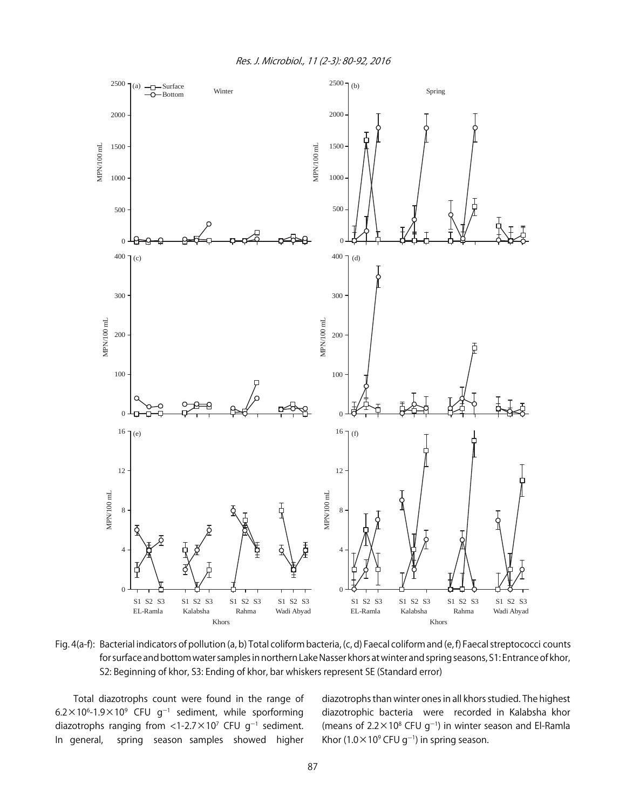

Fig. 4(a-f): Bacterial indicators of pollution (a, b) Total coliform bacteria, (c, d) Faecal coliform and (e, f) Faecal streptococci counts for surface and bottom water samples in northern Lake Nasser khors at winter and spring seasons, S1: Entrance of khor, S2: Beginning of khor, S3: Ending of khor, bar whiskers represent SE (Standard error)

Total diazotrophs count were found in the range of  $6.2 \times 10^6$ -1.9 $\times$ 10<sup>9</sup> CFU g<sup>-1</sup> sediment, while sporforming diazotrophs ranging from <1-2.7 $\times$ 10<sup>7</sup> CFU g<sup>-1</sup> sediment. In general, spring season samples showed higher

diazotrophs than winter ones in all khors studied. The highest diazotrophic bacteria were recorded in Kalabsha khor (means of  $2.2 \times 10^8$  CFU g<sup>-1</sup>) in winter season and El-Ramla Khor (1.0 $\times$ 10<sup>9</sup> CFU g<sup>-1</sup>) in spring season.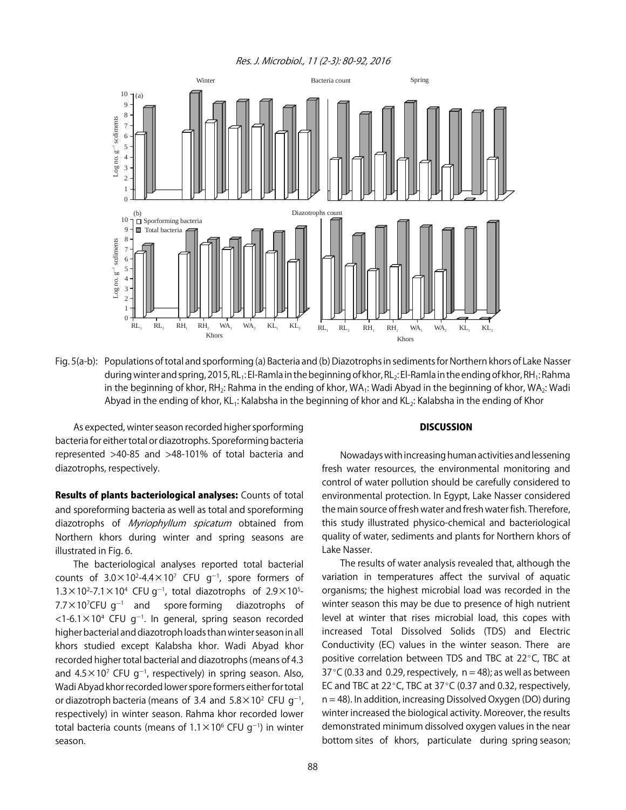Res. J. Microbiol., 11 (2-3): 80-92, 2016



Fig. 5(a-b): Populations of total and sporforming (a) Bacteria and (b) Diazotrophs in sediments for Northern khors of Lake Nasser during winter and spring, 2015, RL<sub>1</sub>: El-Ramla in the beginning of khor, RL<sub>2</sub>: El-Ramla in the ending of khor, RH<sub>1</sub>: Rahma in the beginning of khor, RH<sub>2</sub>: Rahma in the ending of khor, WA<sub>1</sub>: Wadi Abyad in the beginning of khor, WA<sub>2</sub>: Wadi Abyad in the ending of khor, KL<sub>1</sub>: Kalabsha in the beginning of khor and KL<sub>2</sub>: Kalabsha in the ending of Khor

As expected, winter season recorded higher sporforming bacteria for either total or diazotrophs. Sporeforming bacteria represented >40-85 and >48-101% of total bacteria and diazotrophs, respectively.

Results of plants bacteriological analyses: Counts of total and sporeforming bacteria as well as total and sporeforming diazotrophs of Myriophyllum spicatum obtained from Northern khors during winter and spring seasons are illustrated in Fig. 6.

The bacteriological analyses reported total bacterial counts of  $3.0 \times 10^2$ -4.4 $\times 10^7$  CFU g<sup>-1</sup>, spore formers of  $1.3 \times 10^2$ -7.1  $\times$  10<sup>4</sup> CFU g<sup>-1</sup>, total diazotrophs of 2.9  $\times$  10<sup>5</sup>- $7.7\times10^{7}$ CFU g $^{-1}$ spore forming diazotrophs of  $<$ 1-6.1 $\times$ 10<sup>4</sup> CFU g<sup>-1</sup>. In general, spring season recorded higher bacterial and diazotroph loads than winter season in all khors studied except Kalabsha khor. Wadi Abyad khor recorded higher total bacterial and diazotrophs (means of 4.3 and 4.5 $\times$ 10<sup>7</sup> CFU g<sup>-1</sup>, respectively) in spring season. Also, Wadi Abyad khor recorded lower spore formers either for total or diazotroph bacteria (means of 3.4 and  $5.8 \times 10^2$  CFU g<sup>-1</sup>, respectively) in winter season. Rahma khor recorded lower total bacteria counts (means of  $1.1 \times 10^6$  CFU g<sup>-1</sup>) in winter season.

#### **DISCUSSION**

Nowadays with increasing human activities and lessening fresh water resources, the environmental monitoring and control of water pollution should be carefully considered to environmental protection. In Egypt, Lake Nasser considered the main source of fresh water and fresh water fish. Therefore, this study illustrated physico-chemical and bacteriological quality of water, sediments and plants for Northern khors of Lake Nasser.

The results of water analysis revealed that, although the variation in temperatures affect the survival of aquatic organisms; the highest microbial load was recorded in the winter season this may be due to presence of high nutrient level at winter that rises microbial load, this copes with increased Total Dissolved Solids (TDS) and Electric Conductivity (EC) values in the winter season. There are positive correlation between TDS and TBC at  $22^{\circ}$ C, TBC at 37 $\degree$ C (0.33 and 0.29, respectively, n = 48); as well as between EC and TBC at 22 $^{\circ}$ C, TBC at 37 $^{\circ}$ C (0.37 and 0.32, respectively,  $n = 48$ ). In addition, increasing Dissolved Oxygen (DO) during winter increased the biological activity. Moreover, the results demonstrated minimum dissolved oxygen values in the near bottom sites of khors, particulate during spring season;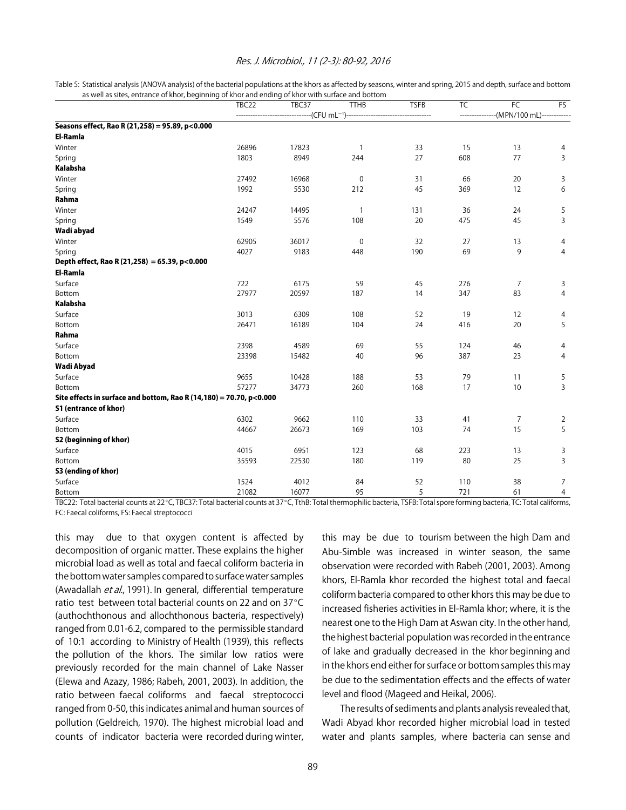#### Res. J. Microbiol., 11 (2-3): 80-92, 2016

Table 5: Statistical analysis (ANOVA analysis) of the bacterial populations at the khors as affected by seasons, winter and spring, 2015 and depth, surface and bottom as well as sites, entrance of khor, beginning of khor and ending of khor with surface and bottom

|                                                                         | TBC22 | TBC37              | <b>TTHB</b>    | <b>TSFB</b> | $\overline{\mathsf{T}}$ C | FC                        | FS             |
|-------------------------------------------------------------------------|-------|--------------------|----------------|-------------|---------------------------|---------------------------|----------------|
|                                                                         |       | $-(CFU mL^{-1})$ - |                |             | -----                     | -(MPN/100 mL)------------ |                |
| Seasons effect, Rao R (21,258) = 95.89, p<0.000                         |       |                    |                |             |                           |                           |                |
| <b>El-Ramla</b>                                                         |       |                    |                |             |                           |                           |                |
| Winter                                                                  | 26896 | 17823              | $\mathbf{1}$   | 33          | 15                        | 13                        | 4              |
| Spring                                                                  | 1803  | 8949               | 244            | 27          | 608                       | 77                        | 3              |
| <b>Kalabsha</b>                                                         |       |                    |                |             |                           |                           |                |
| Winter                                                                  | 27492 | 16968              | $\pmb{0}$      | 31          | 66                        | 20                        | 3              |
| Spring                                                                  | 1992  | 5530               | 212            | 45          | 369                       | 12                        | 6              |
| Rahma                                                                   |       |                    |                |             |                           |                           |                |
| Winter                                                                  | 24247 | 14495              | $\overline{1}$ | 131         | 36                        | 24                        | 5              |
| Spring                                                                  | 1549  | 5576               | 108            | 20          | 475                       | 45                        | 3              |
| Wadi abyad                                                              |       |                    |                |             |                           |                           |                |
| Winter                                                                  | 62905 | 36017              | $\mathbf 0$    | 32          | 27                        | 13                        | 4              |
| Spring                                                                  | 4027  | 9183               | 448            | 190         | 69                        | 9                         | $\overline{4}$ |
| Depth effect, Rao R (21,258) = 65.39, p<0.000                           |       |                    |                |             |                           |                           |                |
| <b>El-Ramla</b>                                                         |       |                    |                |             |                           |                           |                |
| Surface                                                                 | 722   | 6175               | 59             | 45          | 276                       | $\overline{7}$            | 3              |
| Bottom                                                                  | 27977 | 20597              | 187            | 14          | 347                       | 83                        | $\overline{4}$ |
| <b>Kalabsha</b>                                                         |       |                    |                |             |                           |                           |                |
| Surface                                                                 | 3013  | 6309               | 108            | 52          | 19                        | 12                        | 4              |
| Bottom                                                                  | 26471 | 16189              | 104            | 24          | 416                       | 20                        | 5              |
| Rahma                                                                   |       |                    |                |             |                           |                           |                |
| Surface                                                                 | 2398  | 4589               | 69             | 55          | 124                       | 46                        | 4              |
| Bottom                                                                  | 23398 | 15482              | 40             | 96          | 387                       | 23                        | $\overline{4}$ |
| Wadi Abyad                                                              |       |                    |                |             |                           |                           |                |
| Surface                                                                 | 9655  | 10428              | 188            | 53          | 79                        | 11                        | 5              |
| Bottom                                                                  | 57277 | 34773              | 260            | 168         | 17                        | 10                        | 3              |
| Site effects in surface and bottom, Rao R $(14, 180) = 70.70$ , p<0.000 |       |                    |                |             |                           |                           |                |
| <b>S1 (entrance of khor)</b>                                            |       |                    |                |             |                           |                           |                |
| Surface                                                                 | 6302  | 9662               | 110            | 33          | 41                        | $\overline{7}$            | $\overline{2}$ |
| Bottom                                                                  | 44667 | 26673              | 169            | 103         | 74                        | 15                        | 5              |
| S2 (beginning of khor)                                                  |       |                    |                |             |                           |                           |                |
| Surface                                                                 | 4015  | 6951               | 123            | 68          | 223                       | 13                        | 3              |
| Bottom                                                                  | 35593 | 22530              | 180            | 119         | 80                        | 25                        | 3              |
| S3 (ending of khor)                                                     |       |                    |                |             |                           |                           |                |
| Surface                                                                 | 1524  | 4012               | 84             | 52          | 110                       | 38                        | $\overline{7}$ |
| Bottom                                                                  | 21082 | 16077              | 95             | 5           | 721                       | 61                        | $\overline{4}$ |

TBC22: Total bacterial counts at 22°C, TBC37: Total bacterial counts at 37°C, TthB: Total thermophilic bacteria, TSFB: Total spore forming bacteria, TC: Total califorms, FC: Faecal coliforms, FS: Faecal streptococci

this may due to that oxygen content is affected by decomposition of organic matter. These explains the higher microbial load as well as total and faecal coliform bacteria in the bottom water samples compared to surface water samples (Awadallah et al., 1991). In general, differential temperature ratio test between total bacterial counts on 22 and on  $37^{\circ}$ C (authochthonous and allochthonous bacteria, respectively) ranged from 0.01-6.2, compared to the permissible standard of 10:1 according to Ministry of Health (1939), this reflects the pollution of the khors. The similar low ratios were previously recorded for the main channel of Lake Nasser (Elewa and Azazy, 1986; Rabeh, 2001, 2003). In addition, the ratio between faecal coliforms and faecal streptococci ranged from 0-50, this indicates animal and human sources of pollution (Geldreich, 1970). The highest microbial load and counts of indicator bacteria were recorded during winter,

this may be due to tourism between the high Dam and Abu-Simble was increased in winter season, the same observation were recorded with Rabeh (2001, 2003). Among khors, El-Ramla khor recorded the highest total and faecal coliform bacteria compared to other khors this may be due to increased fisheries activities in El-Ramla khor; where, it is the nearest one to the High Dam at Aswan city. In the other hand, the highest bacterial population was recorded in the entrance of lake and gradually decreased in the khor beginning and in the khors end either for surface or bottom samples this may be due to the sedimentation effects and the effects of water level and flood (Mageed and Heikal, 2006).

The results of sediments and plants analysis revealed that, Wadi Abyad khor recorded higher microbial load in tested water and plants samples, where bacteria can sense and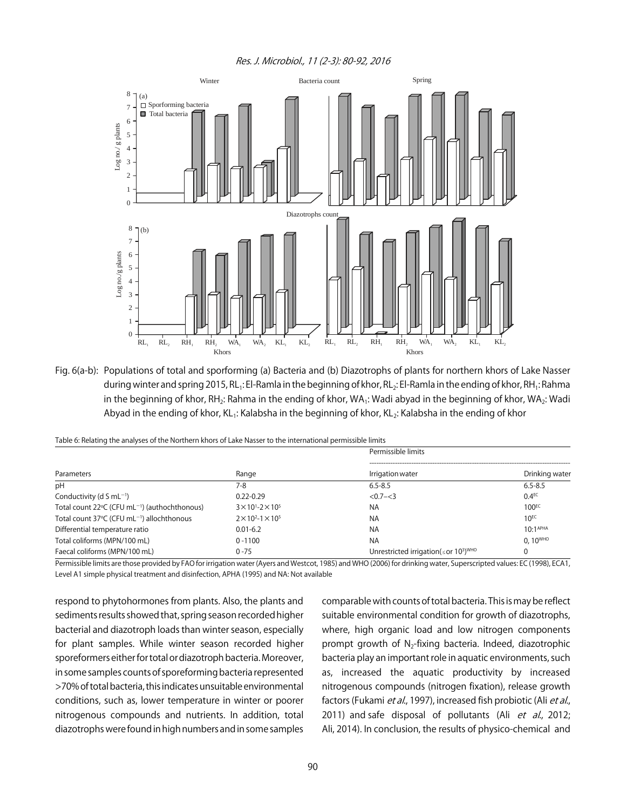Res. J. Microbiol., 11 (2-3): 80-92, 2016



Fig. 6(a-b): Populations of total and sporforming (a) Bacteria and (b) Diazotrophs of plants for northern khors of Lake Nasser during winter and spring 2015, RL<sub>1</sub>: El-Ramla in the beginning of khor, RL<sub>2</sub>: El-Ramla in the ending of khor, RH<sub>1</sub>: Rahma in the beginning of khor, RH<sub>2</sub>: Rahma in the ending of khor, WA<sub>1</sub>: Wadi abyad in the beginning of khor, WA<sub>2</sub>: Wadi Abyad in the ending of khor, KL<sub>1</sub>: Kalabsha in the beginning of khor, KL<sub>2</sub>: Kalabsha in the ending of khor

Table 6: Relating the analyses of the Northern khors of Lake Nasser to the international permissible limits

|                                                           |                                     | Permissible limits                                                  |                      |
|-----------------------------------------------------------|-------------------------------------|---------------------------------------------------------------------|----------------------|
| Parameters                                                | Range                               | Irrigation water                                                    | Drinking water       |
| pH                                                        | 7-8                                 | $6.5 - 8.5$                                                         | $6.5 - 8.5$          |
| Conductivity (d S mL $^{-1}$ )                            | $0.22 - 0.29$                       | $< 0.7 - < 3$                                                       | 0.4 <sup>EC</sup>    |
| Total count 22°C (CFU mL <sup>-1</sup> ) (authochthonous) | $3 \times 10^{1} - 2 \times 10^{5}$ | NA                                                                  | $100^{EC}$           |
| Total count 37°C (CFU mL <sup>-1</sup> ) allochthonous    | $2 \times 10^{2} - 1 \times 10^{5}$ | NA                                                                  | $10^{EC}$            |
| Differential temperature ratio                            | $0.01 - 6.2$                        | <b>NA</b>                                                           | 10.1 <sup>APHA</sup> |
| Total coliforms (MPN/100 mL)                              | $0 - 1100$                          | <b>NA</b>                                                           | $0.10^{\text{WHO}}$  |
| Faecal coliforms (MPN/100 mL)                             | $0 - 75$                            | Unrestricted irrigation( $\leq$ or 10 <sup>3</sup> ) <sup>WHO</sup> | 0                    |

Permissible limits are those provided by FAO for irrigation water (Ayers and Westcot, 1985) and WHO (2006) for drinking water, Superscripted values: EC (1998), ECA1, Level A1 simple physical treatment and disinfection, APHA (1995) and NA: Not available

respond to phytohormones from plants. Also, the plants and sediments results showed that, spring season recorded higher bacterial and diazotroph loads than winter season, especially for plant samples. While winter season recorded higher sporeformers either for total or diazotroph bacteria. Moreover, in some samples counts of sporeforming bacteria represented >70% of total bacteria, this indicates unsuitable environmental conditions, such as, lower temperature in winter or poorer nitrogenous compounds and nutrients. In addition, total diazotrophs were found in high numbers and in some samples comparable with counts of total bacteria. This is may be reflect suitable environmental condition for growth of diazotrophs, where, high organic load and low nitrogen components prompt growth of  $N<sub>2</sub>$ -fixing bacteria. Indeed, diazotrophic bacteria play an important role in aquatic environments, such as, increased the aquatic productivity by increased nitrogenous compounds (nitrogen fixation), release growth factors (Fukami et al., 1997), increased fish probiotic (Ali et al., 2011) and safe disposal of pollutants (Ali et al., 2012; Ali, 2014). In conclusion, the results of physico-chemical and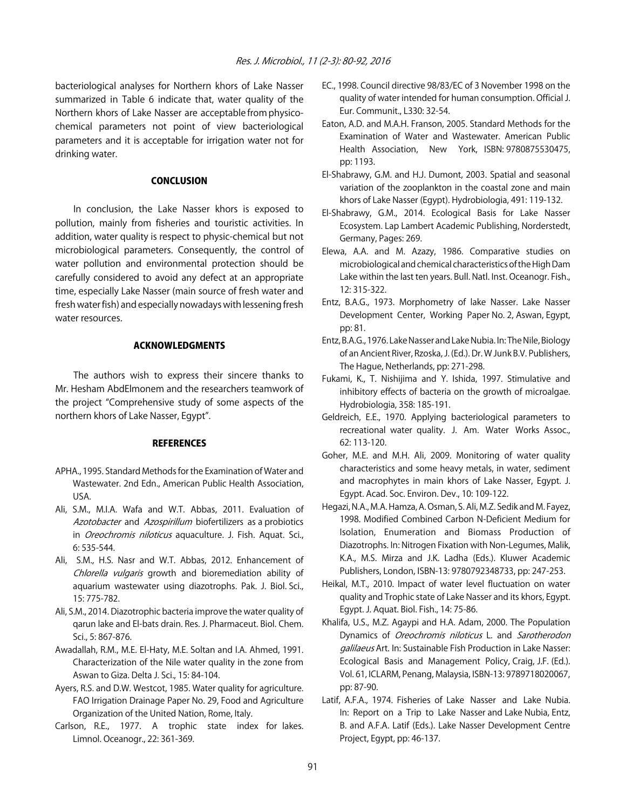bacteriological analyses for Northern khors of Lake Nasser summarized in Table 6 indicate that, water quality of the Northern khors of Lake Nasser are acceptable from physicochemical parameters not point of view bacteriological parameters and it is acceptable for irrigation water not for drinking water.

#### CONCLUSION

In conclusion, the Lake Nasser khors is exposed to pollution, mainly from fisheries and touristic activities. In addition, water quality is respect to physic-chemical but not microbiological parameters. Consequently, the control of water pollution and environmental protection should be carefully considered to avoid any defect at an appropriate time, especially Lake Nasser (main source of fresh water and fresh water fish) and especially nowadays with lessening fresh water resources.

# ACKNOWLEDGMENTS

The authors wish to express their sincere thanks to Mr. Hesham AbdElmonem and the researchers teamwork of the project "Comprehensive study of some aspects of the northern khors of Lake Nasser, Egypt".

#### **REFERENCES**

- APHA., 1995. Standard Methods for the Examination of Water and Wastewater. 2nd Edn., American Public Health Association, USA.
- Ali, S.M., M.I.A. Wafa and W.T. Abbas, 2011. Evaluation of Azotobacter and Azospirillum biofertilizers as a probiotics in Oreochromis niloticus aquaculture. J. Fish. Aquat. Sci., 6: 535-544.
- Ali, S.M., H.S. Nasr and W.T. Abbas, 2012. Enhancement of Chlorella vulgaris growth and bioremediation ability of aquarium wastewater using diazotrophs. Pak. J. Biol. Sci., 15: 775-782.
- Ali, S.M., 2014. Diazotrophic bacteria improve the water quality of qarun lake and El-bats drain. Res. J. Pharmaceut. Biol. Chem. Sci., 5: 867-876.
- Awadallah, R.M., M.E. El-Haty, M.E. Soltan and I.A. Ahmed, 1991. Characterization of the Nile water quality in the zone from Aswan to Giza. Delta J. Sci., 15: 84-104.
- Ayers, R.S. and D.W. Westcot, 1985. Water quality for agriculture. FAO Irrigation Drainage Paper No. 29, Food and Agriculture Organization of the United Nation, Rome, Italy.
- Carlson, R.E., 1977. A trophic state index for lakes. Limnol. Oceanogr., 22: 361-369.
- EC., 1998. Council directive 98/83/EC of 3 November 1998 on the quality of water intended for human consumption. Official J. Eur. Communit., L330: 32-54.
- Eaton, A.D. and M.A.H. Franson, 2005. Standard Methods for the Examination of Water and Wastewater. American Public Health Association, New York, ISBN: 9780875530475, pp: 1193.
- El-Shabrawy, G.M. and H.J. Dumont, 2003. Spatial and seasonal variation of the zooplankton in the coastal zone and main khors of Lake Nasser (Egypt). Hydrobiologia, 491: 119-132.
- El-Shabrawy, G.M., 2014. Ecological Basis for Lake Nasser Ecosystem. Lap Lambert Academic Publishing, Norderstedt, Germany, Pages: 269.
- Elewa, A.A. and M. Azazy, 1986. Comparative studies on microbiological and chemical characteristics of the High Dam Lake within the last ten years. Bull. Natl. Inst. Oceanogr. Fish., 12: 315-322.
- Entz, B.A.G., 1973. Morphometry of lake Nasser. Lake Nasser Development Center, Working Paper No. 2, Aswan, Egypt, pp: 81.
- Entz, B.A.G., 1976. Lake Nasser and Lake Nubia. In: The Nile, Biology of an Ancient River, Rzoska, J. (Ed.). Dr. W Junk B.V. Publishers, The Hague, Netherlands, pp: 271-298.
- Fukami, K., T. Nishijima and Y. Ishida, 1997. Stimulative and inhibitory effects of bacteria on the growth of microalgae. Hydrobiologia, 358: 185-191.
- Geldreich, E.E., 1970. Applying bacteriological parameters to recreational water quality. J. Am. Water Works Assoc., 62: 113-120.
- Goher, M.E. and M.H. Ali, 2009. Monitoring of water quality characteristics and some heavy metals, in water, sediment and macrophytes in main khors of Lake Nasser, Egypt. J. Egypt. Acad. Soc. Environ. Dev., 10: 109-122.
- Hegazi, N.A., M.A. Hamza, A. Osman, S. Ali, M.Z. Sedik and M. Fayez, 1998. Modified Combined Carbon N-Deficient Medium for Isolation, Enumeration and Biomass Production of Diazotrophs. In: Nitrogen Fixation with Non-Legumes, Malik, K.A., M.S. Mirza and J.K. Ladha (Eds.). Kluwer Academic Publishers, London, ISBN-13: 9780792348733, pp: 247-253.
- Heikal, M.T., 2010. Impact of water level fluctuation on water quality and Trophic state of Lake Nasser and its khors, Egypt. Egypt. J. Aquat. Biol. Fish., 14: 75-86.
- Khalifa, U.S., M.Z. Agaypi and H.A. Adam, 2000. The Population Dynamics of Oreochromis niloticus L. and Sarotherodon galilaeus Art. In: Sustainable Fish Production in Lake Nasser: Ecological Basis and Management Policy, Craig, J.F. (Ed.). Vol. 61, ICLARM, Penang, Malaysia, ISBN-13: 9789718020067, pp: 87-90.
- Latif, A.F.A., 1974. Fisheries of Lake Nasser and Lake Nubia. In: Report on a Trip to Lake Nasser and Lake Nubia, Entz, B. and A.F.A. Latif (Eds.). Lake Nasser Development Centre Project, Egypt, pp: 46-137.